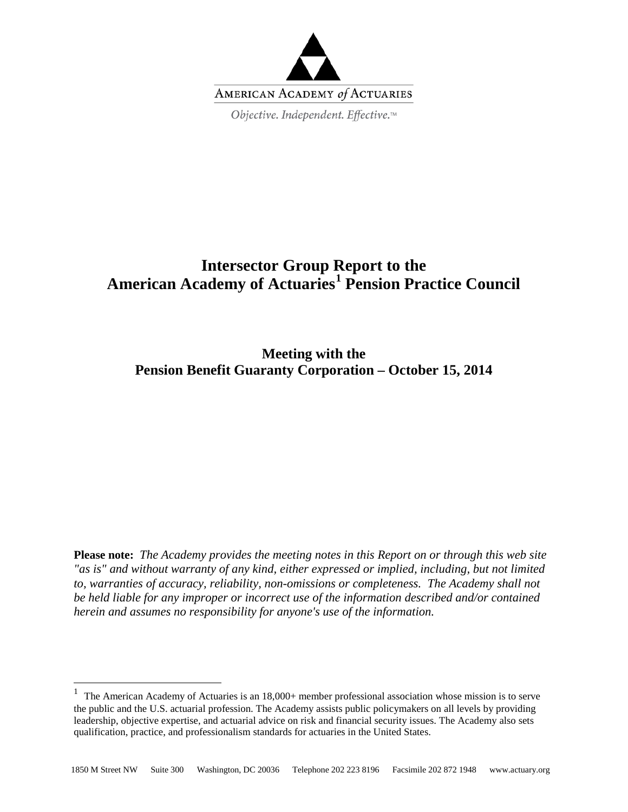

# **Intersector Group Report to the American Academy of Actuaries[1](#page-0-0) Pension Practice Council**

**Meeting with the Pension Benefit Guaranty Corporation – October 15, 2014**

**Please note:** *The Academy provides the meeting notes in this Report on or through this web site "as is" and without warranty of any kind, either expressed or implied, including, but not limited to, warranties of accuracy, reliability, non-omissions or completeness. The Academy shall not be held liable for any improper or incorrect use of the information described and/or contained herein and assumes no responsibility for anyone's use of the information.*

<span id="page-0-0"></span><sup>&</sup>lt;sup>1</sup> The American Academy of Actuaries is an  $18,000+$  member professional association whose mission is to serve the public and the U.S. actuarial profession. The Academy assists public policymakers on all levels by providing leadership, objective expertise, and actuarial advice on risk and financial security issues. The Academy also sets qualification, practice, and professionalism standards for actuaries in the United States.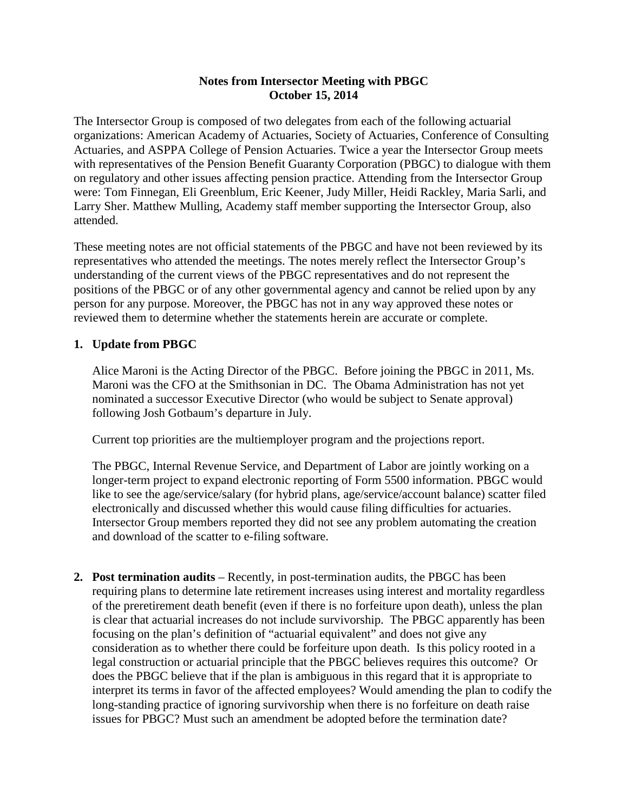#### **Notes from Intersector Meeting with PBGC October 15, 2014**

The Intersector Group is composed of two delegates from each of the following actuarial organizations: American Academy of Actuaries, Society of Actuaries, Conference of Consulting Actuaries, and ASPPA College of Pension Actuaries. Twice a year the Intersector Group meets with representatives of the Pension Benefit Guaranty Corporation (PBGC) to dialogue with them on regulatory and other issues affecting pension practice. Attending from the Intersector Group were: Tom Finnegan, Eli Greenblum, Eric Keener, Judy Miller, Heidi Rackley, Maria Sarli, and Larry Sher. Matthew Mulling, Academy staff member supporting the Intersector Group, also attended.

These meeting notes are not official statements of the PBGC and have not been reviewed by its representatives who attended the meetings. The notes merely reflect the Intersector Group's understanding of the current views of the PBGC representatives and do not represent the positions of the PBGC or of any other governmental agency and cannot be relied upon by any person for any purpose. Moreover, the PBGC has not in any way approved these notes or reviewed them to determine whether the statements herein are accurate or complete.

#### **1. Update from PBGC**

Alice Maroni is the Acting Director of the PBGC. Before joining the PBGC in 2011, Ms. Maroni was the CFO at the Smithsonian in DC. The Obama Administration has not yet nominated a successor Executive Director (who would be subject to Senate approval) following Josh Gotbaum's departure in July.

Current top priorities are the multiemployer program and the projections report.

The PBGC, Internal Revenue Service, and Department of Labor are jointly working on a longer-term project to expand electronic reporting of Form 5500 information. PBGC would like to see the age/service/salary (for hybrid plans, age/service/account balance) scatter filed electronically and discussed whether this would cause filing difficulties for actuaries. Intersector Group members reported they did not see any problem automating the creation and download of the scatter to e-filing software.

**2. Post termination audits** – Recently, in post-termination audits, the PBGC has been requiring plans to determine late retirement increases using interest and mortality regardless of the preretirement death benefit (even if there is no forfeiture upon death), unless the plan is clear that actuarial increases do not include survivorship. The PBGC apparently has been focusing on the plan's definition of "actuarial equivalent" and does not give any consideration as to whether there could be forfeiture upon death. Is this policy rooted in a legal construction or actuarial principle that the PBGC believes requires this outcome? Or does the PBGC believe that if the plan is ambiguous in this regard that it is appropriate to interpret its terms in favor of the affected employees? Would amending the plan to codify the long-standing practice of ignoring survivorship when there is no forfeiture on death raise issues for PBGC? Must such an amendment be adopted before the termination date?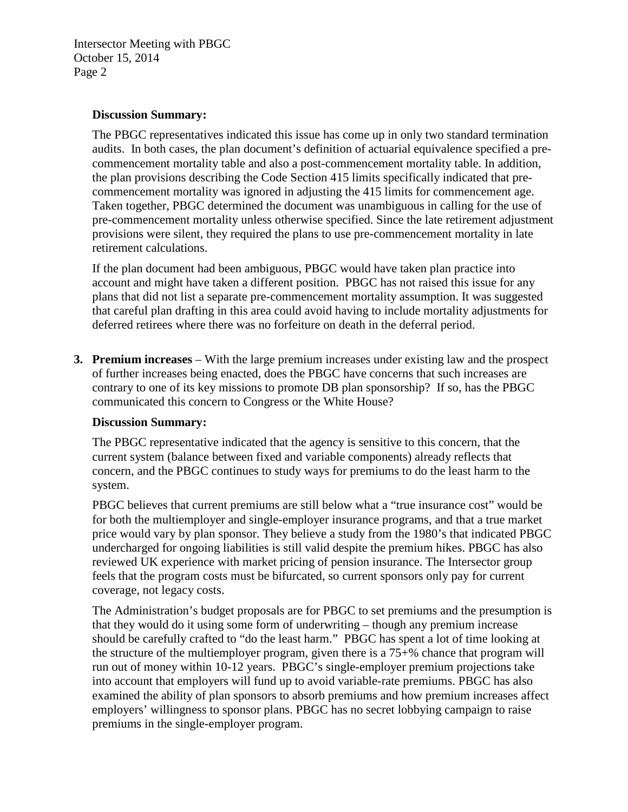#### **Discussion Summary:**

The PBGC representatives indicated this issue has come up in only two standard termination audits. In both cases, the plan document's definition of actuarial equivalence specified a precommencement mortality table and also a post-commencement mortality table. In addition, the plan provisions describing the Code Section 415 limits specifically indicated that precommencement mortality was ignored in adjusting the 415 limits for commencement age. Taken together, PBGC determined the document was unambiguous in calling for the use of pre-commencement mortality unless otherwise specified. Since the late retirement adjustment provisions were silent, they required the plans to use pre-commencement mortality in late retirement calculations.

If the plan document had been ambiguous, PBGC would have taken plan practice into account and might have taken a different position. PBGC has not raised this issue for any plans that did not list a separate pre-commencement mortality assumption. It was suggested that careful plan drafting in this area could avoid having to include mortality adjustments for deferred retirees where there was no forfeiture on death in the deferral period.

**3. Premium increases** – With the large premium increases under existing law and the prospect of further increases being enacted, does the PBGC have concerns that such increases are contrary to one of its key missions to promote DB plan sponsorship? If so, has the PBGC communicated this concern to Congress or the White House?

#### **Discussion Summary:**

The PBGC representative indicated that the agency is sensitive to this concern, that the current system (balance between fixed and variable components) already reflects that concern, and the PBGC continues to study ways for premiums to do the least harm to the system.

PBGC believes that current premiums are still below what a "true insurance cost" would be for both the multiemployer and single-employer insurance programs, and that a true market price would vary by plan sponsor. They believe a study from the 1980's that indicated PBGC undercharged for ongoing liabilities is still valid despite the premium hikes. PBGC has also reviewed UK experience with market pricing of pension insurance. The Intersector group feels that the program costs must be bifurcated, so current sponsors only pay for current coverage, not legacy costs.

The Administration's budget proposals are for PBGC to set premiums and the presumption is that they would do it using some form of underwriting – though any premium increase should be carefully crafted to "do the least harm." PBGC has spent a lot of time looking at the structure of the multiemployer program, given there is a 75+% chance that program will run out of money within 10-12 years. PBGC's single-employer premium projections take into account that employers will fund up to avoid variable-rate premiums. PBGC has also examined the ability of plan sponsors to absorb premiums and how premium increases affect employers' willingness to sponsor plans. PBGC has no secret lobbying campaign to raise premiums in the single-employer program.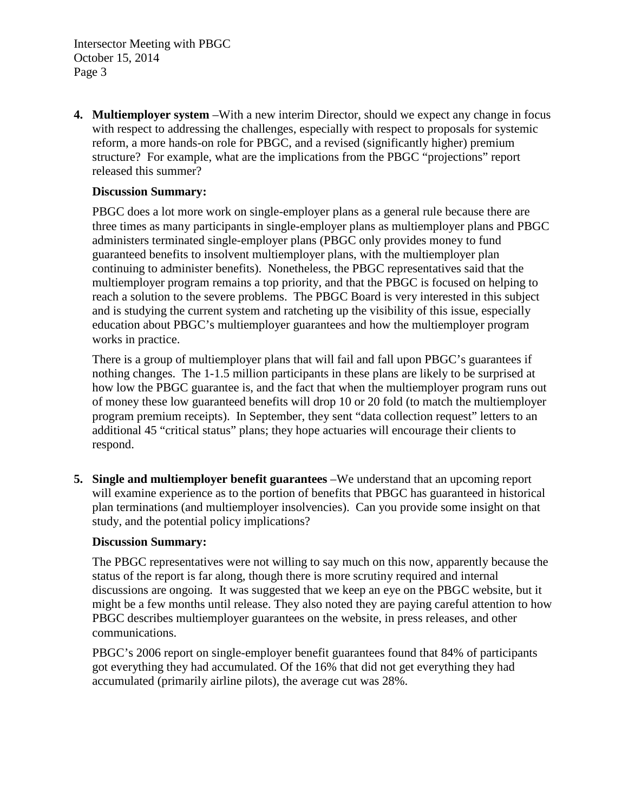**4. Multiemployer system** –With a new interim Director, should we expect any change in focus with respect to addressing the challenges, especially with respect to proposals for systemic reform, a more hands-on role for PBGC, and a revised (significantly higher) premium structure? For example, what are the implications from the PBGC "projections" report released this summer?

#### **Discussion Summary:**

PBGC does a lot more work on single-employer plans as a general rule because there are three times as many participants in single-employer plans as multiemployer plans and PBGC administers terminated single-employer plans (PBGC only provides money to fund guaranteed benefits to insolvent multiemployer plans, with the multiemployer plan continuing to administer benefits). Nonetheless, the PBGC representatives said that the multiemployer program remains a top priority, and that the PBGC is focused on helping to reach a solution to the severe problems. The PBGC Board is very interested in this subject and is studying the current system and ratcheting up the visibility of this issue, especially education about PBGC's multiemployer guarantees and how the multiemployer program works in practice.

There is a group of multiemployer plans that will fail and fall upon PBGC's guarantees if nothing changes. The 1-1.5 million participants in these plans are likely to be surprised at how low the PBGC guarantee is, and the fact that when the multiemployer program runs out of money these low guaranteed benefits will drop 10 or 20 fold (to match the multiemployer program premium receipts). In September, they sent "data collection request" letters to an additional 45 "critical status" plans; they hope actuaries will encourage their clients to respond.

**5. Single and multiemployer benefit guarantees** –We understand that an upcoming report will examine experience as to the portion of benefits that PBGC has guaranteed in historical plan terminations (and multiemployer insolvencies). Can you provide some insight on that study, and the potential policy implications?

#### **Discussion Summary:**

The PBGC representatives were not willing to say much on this now, apparently because the status of the report is far along, though there is more scrutiny required and internal discussions are ongoing. It was suggested that we keep an eye on the PBGC website, but it might be a few months until release. They also noted they are paying careful attention to how PBGC describes multiemployer guarantees on the website, in press releases, and other communications.

PBGC's 2006 report on single-employer benefit guarantees found that 84% of participants got everything they had accumulated. Of the 16% that did not get everything they had accumulated (primarily airline pilots), the average cut was 28%.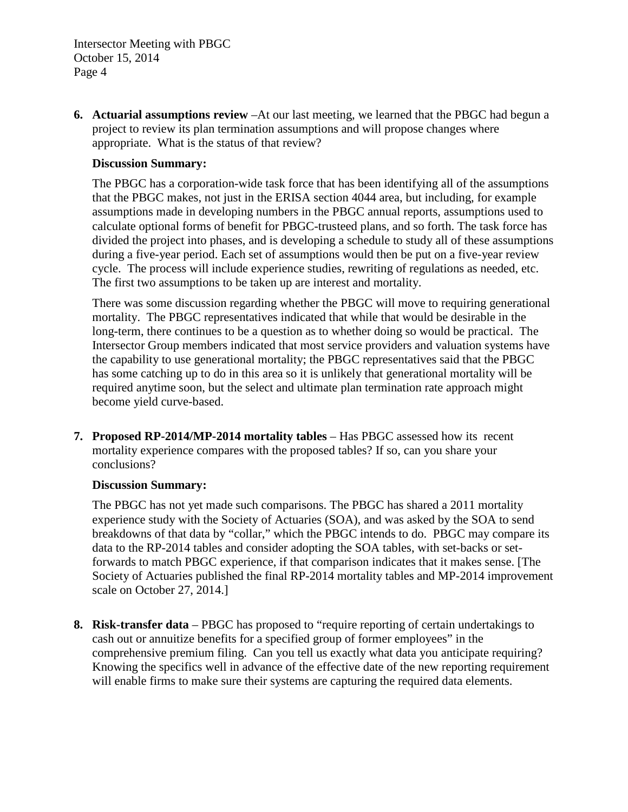**6. Actuarial assumptions review** –At our last meeting, we learned that the PBGC had begun a project to review its plan termination assumptions and will propose changes where appropriate. What is the status of that review?

#### **Discussion Summary:**

The PBGC has a corporation-wide task force that has been identifying all of the assumptions that the PBGC makes, not just in the ERISA section 4044 area, but including, for example assumptions made in developing numbers in the PBGC annual reports, assumptions used to calculate optional forms of benefit for PBGC-trusteed plans, and so forth. The task force has divided the project into phases, and is developing a schedule to study all of these assumptions during a five-year period. Each set of assumptions would then be put on a five-year review cycle. The process will include experience studies, rewriting of regulations as needed, etc. The first two assumptions to be taken up are interest and mortality.

There was some discussion regarding whether the PBGC will move to requiring generational mortality. The PBGC representatives indicated that while that would be desirable in the long-term, there continues to be a question as to whether doing so would be practical. The Intersector Group members indicated that most service providers and valuation systems have the capability to use generational mortality; the PBGC representatives said that the PBGC has some catching up to do in this area so it is unlikely that generational mortality will be required anytime soon, but the select and ultimate plan termination rate approach might become yield curve-based.

**7. Proposed RP-2014/MP-2014 mortality tables** – Has PBGC assessed how its recent mortality experience compares with the proposed tables? If so, can you share your conclusions?

#### **Discussion Summary:**

The PBGC has not yet made such comparisons. The PBGC has shared a 2011 mortality experience study with the Society of Actuaries (SOA), and was asked by the SOA to send breakdowns of that data by "collar," which the PBGC intends to do. PBGC may compare its data to the RP-2014 tables and consider adopting the SOA tables, with set-backs or setforwards to match PBGC experience, if that comparison indicates that it makes sense. [The Society of Actuaries published the final RP-2014 mortality tables and MP-2014 improvement scale on October 27, 2014.]

**8. Risk-transfer data** – PBGC has proposed to "require reporting of certain undertakings to cash out or annuitize benefits for a specified group of former employees" in the comprehensive premium filing. Can you tell us exactly what data you anticipate requiring? Knowing the specifics well in advance of the effective date of the new reporting requirement will enable firms to make sure their systems are capturing the required data elements.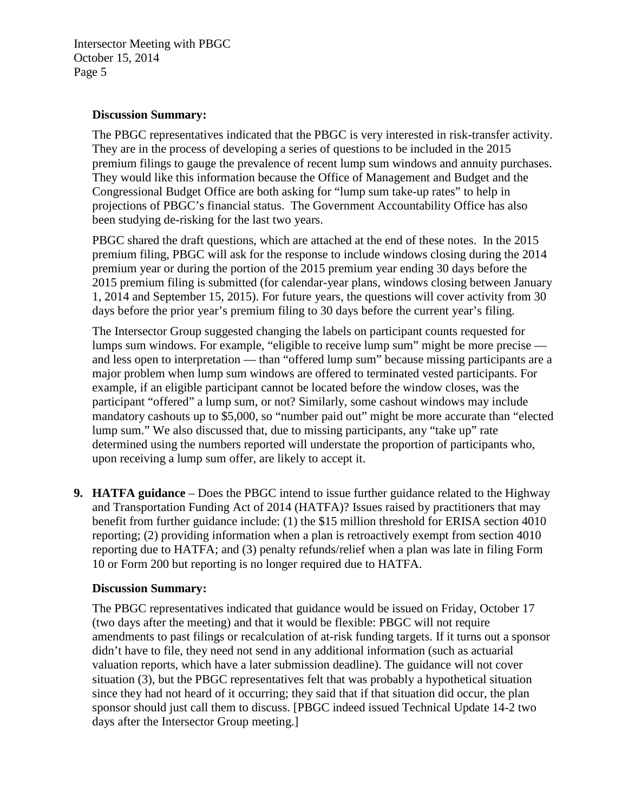#### **Discussion Summary:**

The PBGC representatives indicated that the PBGC is very interested in risk-transfer activity. They are in the process of developing a series of questions to be included in the 2015 premium filings to gauge the prevalence of recent lump sum windows and annuity purchases. They would like this information because the Office of Management and Budget and the Congressional Budget Office are both asking for "lump sum take-up rates" to help in projections of PBGC's financial status. The Government Accountability Office has also been studying de-risking for the last two years.

PBGC shared the draft questions, which are attached at the end of these notes. In the 2015 premium filing, PBGC will ask for the response to include windows closing during the 2014 premium year or during the portion of the 2015 premium year ending 30 days before the 2015 premium filing is submitted (for calendar-year plans, windows closing between January 1, 2014 and September 15, 2015). For future years, the questions will cover activity from 30 days before the prior year's premium filing to 30 days before the current year's filing.

The Intersector Group suggested changing the labels on participant counts requested for lumps sum windows. For example, "eligible to receive lump sum" might be more precise and less open to interpretation — than "offered lump sum" because missing participants are a major problem when lump sum windows are offered to terminated vested participants. For example, if an eligible participant cannot be located before the window closes, was the participant "offered" a lump sum, or not? Similarly, some cashout windows may include mandatory cashouts up to \$5,000, so "number paid out" might be more accurate than "elected lump sum." We also discussed that, due to missing participants, any "take up" rate determined using the numbers reported will understate the proportion of participants who, upon receiving a lump sum offer, are likely to accept it.

**9. HATFA guidance** – Does the PBGC intend to issue further guidance related to the Highway and Transportation Funding Act of 2014 (HATFA)? Issues raised by practitioners that may benefit from further guidance include: (1) the \$15 million threshold for ERISA section 4010 reporting; (2) providing information when a plan is retroactively exempt from section 4010 reporting due to HATFA; and (3) penalty refunds/relief when a plan was late in filing Form 10 or Form 200 but reporting is no longer required due to HATFA.

#### **Discussion Summary:**

The PBGC representatives indicated that guidance would be issued on Friday, October 17 (two days after the meeting) and that it would be flexible: PBGC will not require amendments to past filings or recalculation of at-risk funding targets. If it turns out a sponsor didn't have to file, they need not send in any additional information (such as actuarial valuation reports, which have a later submission deadline). The guidance will not cover situation (3), but the PBGC representatives felt that was probably a hypothetical situation since they had not heard of it occurring; they said that if that situation did occur, the plan sponsor should just call them to discuss. [PBGC indeed issued Technical Update 14-2 two days after the Intersector Group meeting.]